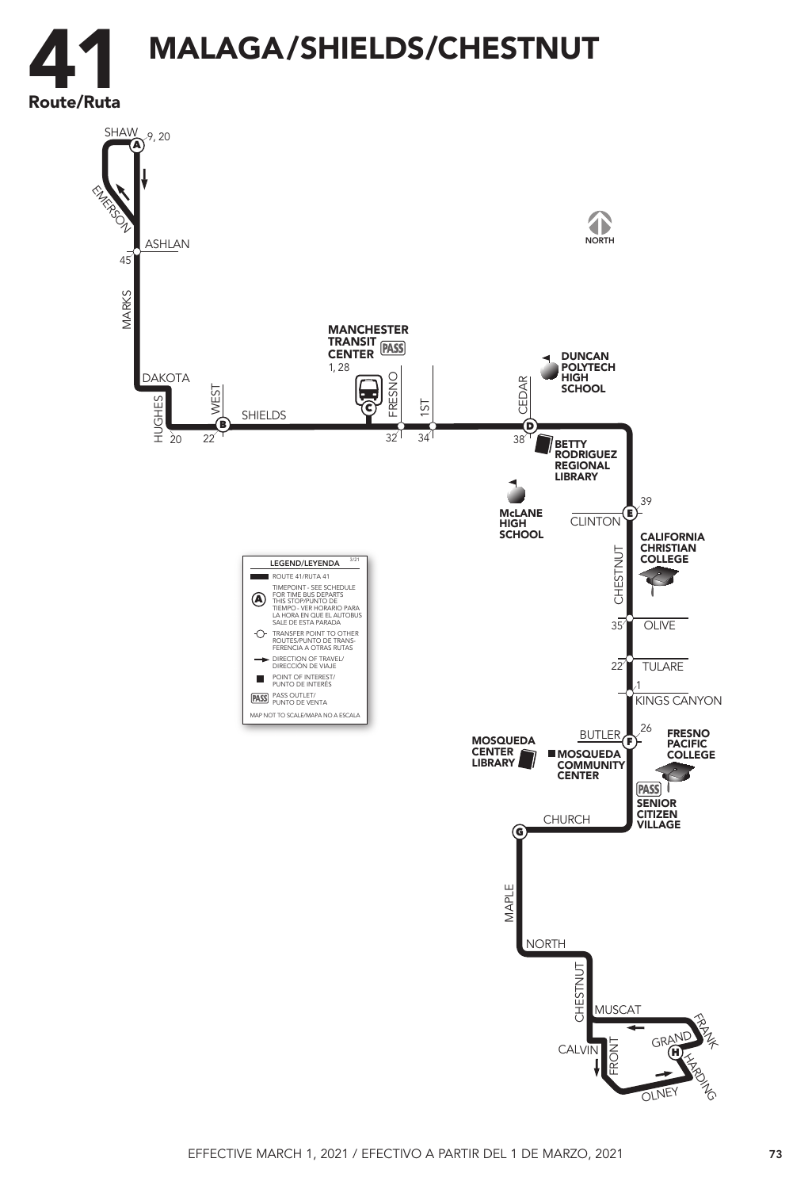

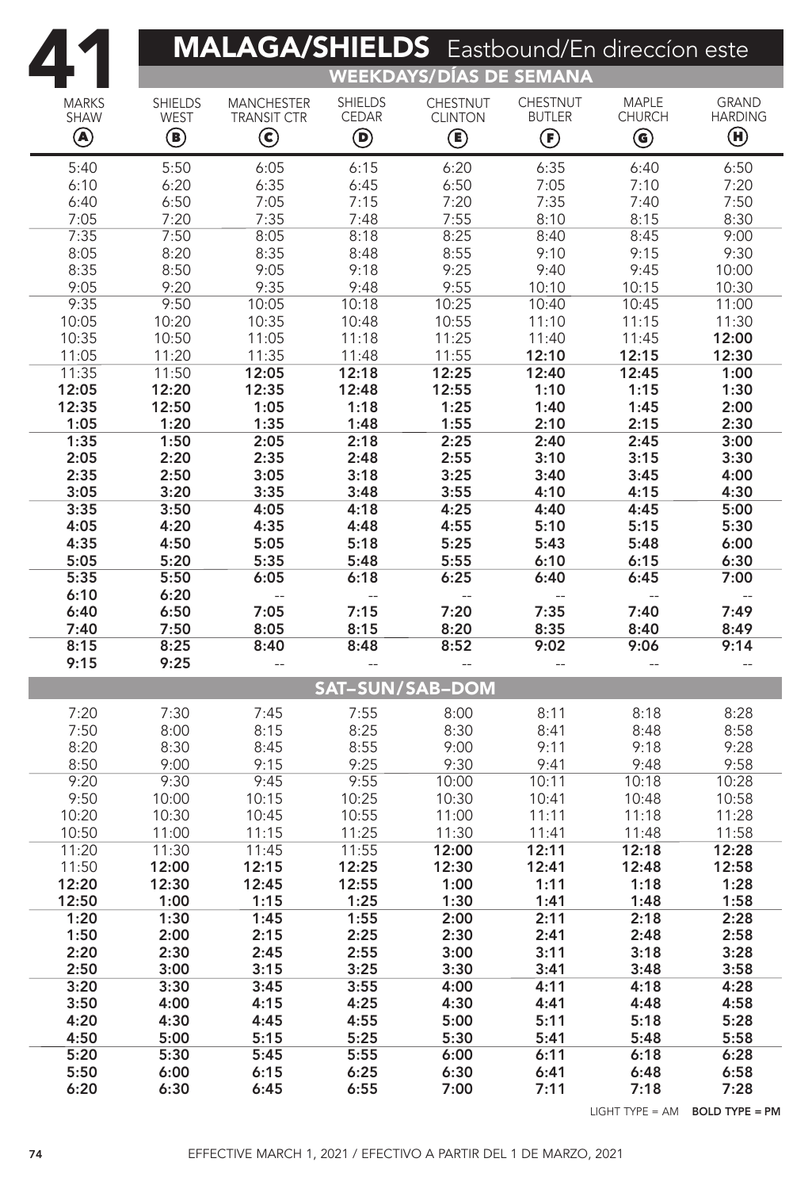|                  | <b>MALAGA/SHIELDS</b> Eastbound/En direccion este |                    |                        |                           |                                          |                                         |                                |  |  |  |  |  |
|------------------|---------------------------------------------------|--------------------|------------------------|---------------------------|------------------------------------------|-----------------------------------------|--------------------------------|--|--|--|--|--|
|                  | <b>WEEKDAYS/DÍAS DE SEMANA</b>                    |                    |                        |                           |                                          |                                         |                                |  |  |  |  |  |
| <b>MARKS</b>     | <b>SHIELDS</b>                                    | <b>MANCHESTER</b>  | <b>SHIELDS</b>         | <b>CHESTNUT</b>           | <b>CHESTNUT</b>                          | <b>MAPLE</b>                            | <b>GRAND</b>                   |  |  |  |  |  |
| <b>SHAW</b><br>◉ | <b>WEST</b>                                       | <b>TRANSIT CTR</b> | <b>CEDAR</b>           | <b>CLINTON</b>            | <b>BUTLER</b>                            | <b>CHURCH</b>                           | <b>HARDING</b><br>$\bm \Theta$ |  |  |  |  |  |
|                  | $\textcircled{\small{1}}$                         | $\bm{\mathsf{C}}$  | $\bm{\mathsf{\Theta}}$ | $\textcircled{\small{f}}$ | $\bm{\mathop{\textcircled{\textsf{F}}}}$ | $\textcircled{\scriptsize{\textbf{0}}}$ |                                |  |  |  |  |  |
| 5:40             | 5:50                                              | 6:05               | 6:15                   | 6:20                      | 6:35                                     | 6:40                                    | 6:50                           |  |  |  |  |  |
| 6:10<br>6:40     | 6:20<br>6:50                                      | 6:35<br>7:05       | 6:45<br>7:15           | 6:50<br>7:20              | 7:05<br>7:35                             | 7:10<br>7:40                            | 7:20<br>7:50                   |  |  |  |  |  |
| 7:05             | 7:20                                              | 7:35               | 7:48                   | 7:55                      | 8:10                                     | 8:15                                    | 8:30                           |  |  |  |  |  |
| 7:35             | 7:50                                              | 8:05               | 8:18                   | 8:25                      | 8:40                                     | 8:45                                    | 9:00                           |  |  |  |  |  |
| 8:05             | 8:20                                              | 8:35               | 8:48                   | 8:55                      | 9:10                                     | 9:15                                    | 9:30                           |  |  |  |  |  |
| 8:35<br>9:05     | 8:50<br>9:20                                      | 9:05<br>9:35       | 9:18<br>9:48           | 9:25<br>9:55              | 9:40<br>10:10                            | 9:45<br>10:15                           | 10:00<br>10:30                 |  |  |  |  |  |
| 9:35             | 9:50                                              | 10:05              | 10:18                  | 10:25                     | 10:40                                    | 10:45                                   | 11:00                          |  |  |  |  |  |
| 10:05            | 10:20                                             | 10:35              | 10:48                  | 10:55                     | 11:10                                    | 11:15                                   | 11:30                          |  |  |  |  |  |
| 10:35            | 10:50                                             | 11:05              | 11:18                  | 11:25                     | 11:40                                    | 11:45                                   | 12:00                          |  |  |  |  |  |
| 11:05<br>11:35   | 11:20                                             | 11:35<br>12:05     | 11:48<br>12:18         | 11:55<br>12:25            | 12:10<br>12:40                           | 12:15<br>12:45                          | 12:30<br>1:00                  |  |  |  |  |  |
| 12:05            | 11:50<br>12:20                                    | 12:35              | 12:48                  | 12:55                     | 1:10                                     | 1:15                                    | 1:30                           |  |  |  |  |  |
| 12:35            | 12:50                                             | 1:05               | 1:18                   | 1:25                      | 1:40                                     | 1:45                                    | 2:00                           |  |  |  |  |  |
| 1:05             | 1:20                                              | 1:35               | 1:48                   | 1:55                      | 2:10                                     | 2:15                                    | 2:30                           |  |  |  |  |  |
| 1:35             | 1:50                                              | 2:05               | 2:18                   | 2:25                      | 2:40                                     | 2:45                                    | 3:00                           |  |  |  |  |  |
| 2:05<br>2:35     | 2:20<br>2:50                                      | 2:35<br>3:05       | 2:48<br>3:18           | 2:55<br>3:25              | 3:10<br>3:40                             | 3:15<br>3:45                            | 3:30<br>4:00                   |  |  |  |  |  |
| 3:05             | 3:20                                              | 3:35               | 3:48                   | 3:55                      | 4:10                                     | 4:15                                    | 4:30                           |  |  |  |  |  |
| 3:35             | 3:50                                              | 4:05               | 4:18                   | 4:25                      | 4:40                                     | 4:45                                    | 5:00                           |  |  |  |  |  |
| 4:05             | 4:20                                              | 4:35               | 4:48                   | 4:55                      | 5:10                                     | 5:15                                    | 5:30                           |  |  |  |  |  |
| 4:35<br>5:05     | 4:50<br>5:20                                      | 5:05<br>5:35       | 5:18<br>5:48           | 5:25<br>5:55              | 5:43<br>6:10                             | 5:48<br>6:15                            | 6:00<br>6:30                   |  |  |  |  |  |
| 5:35             | 5:50                                              | 6:05               | 6:18                   | 6:25                      | 6:40                                     | 6:45                                    | 7:00                           |  |  |  |  |  |
| 6:10             | 6:20                                              | --                 | $-$                    |                           |                                          |                                         |                                |  |  |  |  |  |
| 6:40             | 6:50                                              | 7:05               | 7:15                   | 7:20                      | 7:35                                     | 7:40                                    | 7:49                           |  |  |  |  |  |
| 7:40<br>8:15     | 7:50<br>8:25                                      | 8:05<br>8:40       | 8:15<br>8:48           | 8:20<br>8:52              | 8:35<br>9:02                             | 8:40<br>9:06                            | 8:49<br>9:14                   |  |  |  |  |  |
| 9:15             | 9:25                                              | $-$                | $-$                    |                           |                                          |                                         | $-$                            |  |  |  |  |  |
|                  |                                                   |                    |                        | <b>SAT-SUN/SAB-DOM</b>    |                                          |                                         |                                |  |  |  |  |  |
| 7:20             | 7:30                                              |                    | 7:55                   | 8:00                      |                                          | 8:18                                    | 8:28                           |  |  |  |  |  |
| 7:50             | 8:00                                              | 7:45<br>8:15       | 8:25                   | 8:30                      | 8:11<br>8:41                             | 8:48                                    | 8:58                           |  |  |  |  |  |
| 8:20             | 8:30                                              | 8:45               | 8:55                   | 9:00                      | 9:11                                     | 9:18                                    | 9:28                           |  |  |  |  |  |
| 8:50             | 9:00                                              | 9:15               | 9:25                   | 9:30                      | 9:41                                     | 9:48                                    | 9:58                           |  |  |  |  |  |
| 9:20             | 9:30                                              | 9:45               | 9:55                   | 10:00                     | 10:11                                    | 10:18                                   | 10:28                          |  |  |  |  |  |
| 9:50<br>10:20    | 10:00<br>10:30                                    | 10:15<br>10:45     | 10:25<br>10:55         | 10:30<br>11:00            | 10:41<br>11:11                           | 10:48<br>11:18                          | 10:58<br>11:28                 |  |  |  |  |  |
| 10:50            | 11:00                                             | 11:15              | 11:25                  | 11:30                     | 11:41                                    | 11:48                                   | 11:58                          |  |  |  |  |  |
| 11:20            | 11:30                                             | 11:45              | 11:55                  | 12:00                     | 12:11                                    | 12:18                                   | 12:28                          |  |  |  |  |  |
| 11:50            | 12:00                                             | 12:15              | 12:25                  | 12:30                     | 12:41                                    | 12:48                                   | 12:58                          |  |  |  |  |  |
| 12:20<br>12:50   | 12:30<br>1:00                                     | 12:45<br>1:15      | 12:55<br>1:25          | 1:00<br>1:30              | 1:11<br>1:41                             | 1:18<br>1:48                            | 1:28<br>1:58                   |  |  |  |  |  |
| 1:20             | 1:30                                              | 1:45               | 1:55                   | 2:00                      | 2:11                                     | 2:18                                    | 2:28                           |  |  |  |  |  |
| 1:50             | 2:00                                              | 2:15               | 2:25                   | 2:30                      | 2:41                                     | 2:48                                    | 2:58                           |  |  |  |  |  |
| 2:20             | 2:30                                              | 2:45               | 2:55                   | 3:00                      | 3:11                                     | 3:18                                    | 3:28                           |  |  |  |  |  |
| 2:50<br>3:20     | 3:00<br>3:30                                      | 3:15<br>3:45       | 3:25<br>3:55           | 3:30<br>4:00              | 3:41<br>4:11                             | 3:48<br>4:18                            | 3:58<br>4:28                   |  |  |  |  |  |
| 3:50             | 4:00                                              | 4:15               | 4:25                   | 4:30                      | 4:41                                     | 4:48                                    | 4:58                           |  |  |  |  |  |
| 4:20             | 4:30                                              | 4:45               | 4:55                   | 5:00                      | 5:11                                     | 5:18                                    | 5:28                           |  |  |  |  |  |
| 4:50             | 5:00                                              | 5:15               | 5:25                   | 5:30                      | 5:41                                     | 5:48                                    | 5:58                           |  |  |  |  |  |
| 5:20<br>5:50     | 5:30<br>6:00                                      | 5:45<br>6:15       | 5:55<br>6:25           | 6:00<br>6:30              | 6:11<br>6:41                             | 6:18<br>6:48                            | 6:28<br>6:58                   |  |  |  |  |  |
| 6:20             | 6:30                                              | 6:45               | 6:55                   | 7:00                      | 7:11                                     | 7:18                                    | 7:28                           |  |  |  |  |  |
|                  |                                                   |                    |                        |                           |                                          |                                         |                                |  |  |  |  |  |

LIGHT TYPE = AM BOLD TYPE = PM